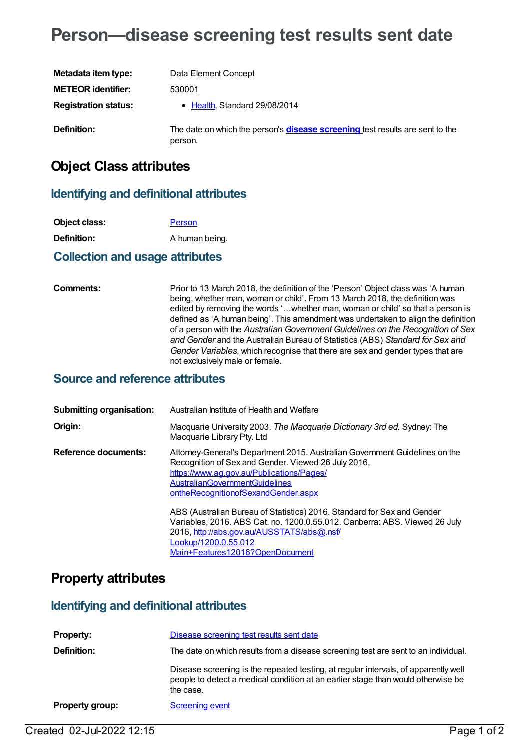# **Person—disease screening test results sent date**

| Metadata item type:         | Data Element Concept                                                                            |
|-----------------------------|-------------------------------------------------------------------------------------------------|
| <b>METEOR identifier:</b>   | 530001                                                                                          |
| <b>Registration status:</b> | • Health, Standard 29/08/2014                                                                   |
| Definition:                 | The date on which the person's <b>disease screening</b> test results are sent to the<br>person. |

## **Object Class attributes**

#### **Identifying and definitional attributes**

| Object class: | Person         |
|---------------|----------------|
| Definition:   | A human being. |
|               |                |

#### **Collection and usage attributes**

**Comments:** Prior to 13 March 2018, the definition of the 'Person' Object class was 'A human being, whether man, woman or child'. From 13 March 2018, the definition was edited by removing the words '…whether man, woman or child' so that a person is defined as 'A human being'. This amendment was undertaken to align the definition of a person with the *Australian Government Guidelines on the Recognition of Sex and Gender* and the Australian Bureau of Statistics (ABS) *Standard for Sex and Gender Variables*, which recognise that there are sex and gender types that are not exclusively male or female.

#### **Source and reference attributes**

| <b>Submitting organisation:</b> | Australian Institute of Health and Welfare                                                                                                                                                                                                                      |
|---------------------------------|-----------------------------------------------------------------------------------------------------------------------------------------------------------------------------------------------------------------------------------------------------------------|
| Origin:                         | Macquarie University 2003. The Macquarie Dictionary 3rd ed. Sydney: The<br>Macquarie Library Pty. Ltd                                                                                                                                                           |
| Reference documents:            | Attorney-General's Department 2015. Australian Government Guidelines on the<br>Recognition of Sex and Gender. Viewed 26 July 2016,<br>https://www.ag.gov.au/Publications/Pages/<br><b>AustralianGovernmentGuidelines</b><br>ontheRecognitionofSexandGender.aspx |
|                                 | ABS (Australian Bureau of Statistics) 2016. Standard for Sex and Gender<br>Variables, 2016. ABS Cat. no. 1200.0.55.012. Canberra: ABS. Viewed 26 July<br>2016, http://abs.gov.au/AUSSTATS/abs@.nsf/<br>Lookup/1200.0.55.012<br>Main+Features12016?OpenDocument  |

### **Property attributes**

#### **Identifying and definitional attributes**

| <b>Property:</b>       | Disease screening test results sent date                                                                                                                                             |
|------------------------|--------------------------------------------------------------------------------------------------------------------------------------------------------------------------------------|
| Definition:            | The date on which results from a disease screening test are sent to an individual.                                                                                                   |
|                        | Disease screening is the repeated testing, at regular intervals, of apparently well<br>people to detect a medical condition at an earlier stage than would otherwise be<br>the case. |
| <b>Property group:</b> | <b>Screening event</b>                                                                                                                                                               |